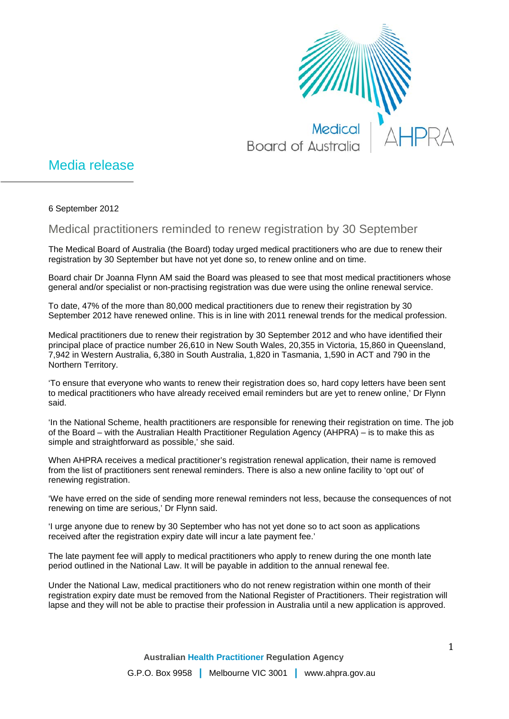

## Media release

6 September 2012

Medical practitioners reminded to renew registration by 30 September

The Medical Board of Australia (the Board) today urged medical practitioners who are due to renew their registration by 30 September but have not yet done so, to renew online and on time.

Board chair Dr Joanna Flynn AM said the Board was pleased to see that most medical practitioners whose general and/or specialist or non-practising registration was due were using the online renewal service.

To date, 47% of the more than 80,000 medical practitioners due to renew their registration by 30 September 2012 have renewed online. This is in line with 2011 renewal trends for the medical profession.

Medical practitioners due to renew their registration by 30 September 2012 and who have identified their principal place of practice number 26,610 in New South Wales, 20,355 in Victoria, 15,860 in Queensland, 7,942 in Western Australia, 6,380 in South Australia, 1,820 in Tasmania, 1,590 in ACT and 790 in the Northern Territory.

'To ensure that everyone who wants to renew their registration does so, hard copy letters have been sent to medical practitioners who have already received email reminders but are yet to renew online,' Dr Flynn said.

'In the National Scheme, health practitioners are responsible for renewing their registration on time. The job of the Board – with the Australian Health Practitioner Regulation Agency (AHPRA) – is to make this as simple and straightforward as possible,' she said.

When AHPRA receives a medical practitioner's registration renewal application, their name is removed from the list of practitioners sent renewal reminders. There is also a new online facility to 'opt out' of renewing registration.

'We have erred on the side of sending more renewal reminders not less, because the consequences of not renewing on time are serious,' Dr Flynn said.

'I urge anyone due to renew by 30 September who has not yet done so to act soon as applications received after the registration expiry date will incur a late payment fee.'

The late payment fee will apply to medical practitioners who apply to renew during the one month late period outlined in the National Law. It will be payable in addition to the annual renewal fee.

Under the National Law, medical practitioners who do not renew registration within one month of their registration expiry date must be removed from the National Register of Practitioners. Their registration will lapse and they will not be able to practise their profession in Australia until a new application is approved.